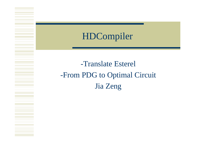#### HDCompiler

## -Translate Esterel -From PDG to Optimal Circuit Jia Zeng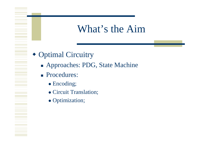## What's the Aim

- Optimal Circuitry
	- Approaches: PDG, State Machine
	- **Procedures:** 
		- Encoding;
		- Circuit Translation;
		- Optimization;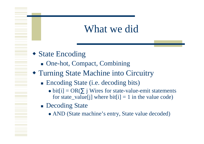## What we did

- State Encoding
	- One-hot, Compact, Com bining
- Turning State Machine into Circuitry
	- Encoding State (i.e. decoding bits)
		- $\bullet$  bit[i] = OR( j Wires for state-value-emit statements for state\_value[j] where  $bit[i] = 1$  in the value code)
	- **Decoding State** 
		- AND (State machine's entry, State value decoded)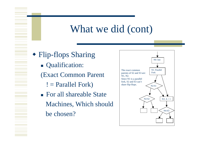## What we did (cont)

 Flip-flops Sharing **Qualification:** (Exact Common Parent ! = Parallel Fork) ■ For all shareable State Machines, Which should be chosen?

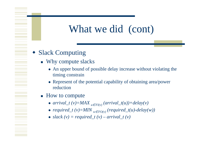# What we did (cont)

#### ♦ Slack Computing

- Why compute slacks
	- An upper bound of possible delay increase without violating the timin g constrai n
	- Represent of the potential capability of obtaining area/power reduction
- $\blacksquare$  How to compute
	- $arrival_t(v) = MAX_{u}$   $_{FI(v)}(arrival_t(u)) + delay(v)$
	- $required_t(v) = MIN_{w}$   $_{FO(v)}(required_t(u) delay(w))$
	- $slack(v) = required_t(v) arrival_t(v)$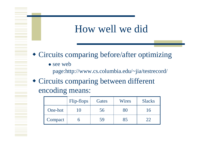## How well we did

Circuits compari ng before/ after optimizing

• see web

page:http://www.cs.columbia.edu/~jia/testrecord/

 Circuits compari ng between different encoding means:

|         | Flip-flops | Gates | <b>Wires</b> | <b>Slacks</b> |
|---------|------------|-------|--------------|---------------|
| One-hot | I ()       | 56    | 30           | <u> 16</u>    |
| Compact |            | 59    | 85           |               |